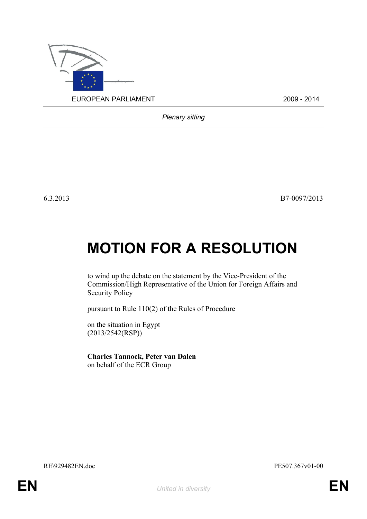

*Plenary sitting*

6.3.2013 B7-0097/2013

## **MOTION FOR A RESOLUTION**

to wind up the debate on the statement by the Vice-President of the Commission/High Representative of the Union for Foreign Affairs and Security Policy

pursuant to Rule 110(2) of the Rules of Procedure

on the situation in Egypt (2013/2542(RSP))

<span id="page-0-0"></span>**Charles Tannock, Peter van Dalen** on behalf of the ECR Group

<span id="page-0-1"></span>RE\929482EN.doc PE507.367v01-00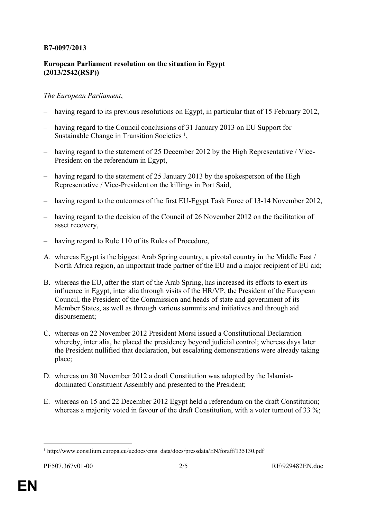## **B7-0097/2013**

## **European Parliament resolution on the situation in Egypt (2013/2542(RSP))**

## *The European Parliament*,

- having regard to its previous resolutions on Egypt, in particular that of 15 February 2012,
- having regard to the Council conclusions of 31 January 2013 on EU Support for Sustainable Change in Transition Societies<sup>1</sup>,
- having regard to the statement of 25 December 2012 by the High Representative / Vice-President on the referendum in Egypt,
- having regard to the statement of 25 January 2013 by the spokesperson of the High Representative / Vice-President on the killings in Port Said,
- having regard to the outcomes of the first EU-Egypt Task Force of 13-14 November 2012,
- having regard to the decision of the Council of 26 November 2012 on the facilitation of asset recovery,
- having regard to Rule 110 of its Rules of Procedure,
- A. whereas Egypt is the biggest Arab Spring country, a pivotal country in the Middle East / North Africa region, an important trade partner of the EU and a major recipient of EU aid;
- B. whereas the EU, after the start of the Arab Spring, has increased its efforts to exert its influence in Egypt, inter alia through visits of the HR/VP, the President of the European Council, the President of the Commission and heads of state and government of its Member States, as well as through various summits and initiatives and through aid disbursement;
- C. whereas on 22 November 2012 President Morsi issued a Constitutional Declaration whereby, inter alia, he placed the presidency beyond judicial control; whereas days later the President nullified that declaration, but escalating demonstrations were already taking place;
- D. whereas on 30 November 2012 a draft Constitution was adopted by the Islamistdominated Constituent Assembly and presented to the President;
- E. whereas on 15 and 22 December 2012 Egypt held a referendum on the draft Constitution; whereas a majority voted in favour of the draft Constitution, with a voter turnout of 33 %;

<sup>&</sup>lt;sup>1</sup> http://www.consilium.europa.eu/uedocs/cms\_data/docs/pressdata/EN/foraff/135130.pdf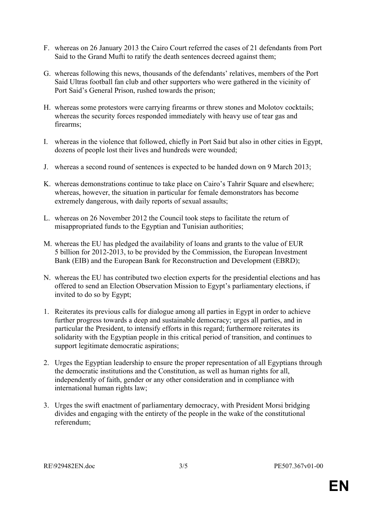- F. whereas on 26 January 2013 the Cairo Court referred the cases of 21 defendants from Port Said to the Grand Mufti to ratify the death sentences decreed against them;
- G. whereas following this news, thousands of the defendants' relatives, members of the Port Said Ultras football fan club and other supporters who were gathered in the vicinity of Port Said's General Prison, rushed towards the prison;
- H. whereas some protestors were carrying firearms or threw stones and Molotov cocktails; whereas the security forces responded immediately with heavy use of tear gas and firearms;
- I. whereas in the violence that followed, chiefly in Port Said but also in other cities in Egypt, dozens of people lost their lives and hundreds were wounded;
- J. whereas a second round of sentences is expected to be handed down on 9 March 2013;
- K. whereas demonstrations continue to take place on Cairo's Tahrir Square and elsewhere; whereas, however, the situation in particular for female demonstrators has become extremely dangerous, with daily reports of sexual assaults;
- L. whereas on 26 November 2012 the Council took steps to facilitate the return of misappropriated funds to the Egyptian and Tunisian authorities;
- M. whereas the EU has pledged the availability of loans and grants to the value of EUR 5 billion for 2012-2013, to be provided by the Commission, the European Investment Bank (EIB) and the European Bank for Reconstruction and Development (EBRD);
- N. whereas the EU has contributed two election experts for the presidential elections and has offered to send an Election Observation Mission to Egypt's parliamentary elections, if invited to do so by Egypt;
- 1. Reiterates its previous calls for dialogue among all parties in Egypt in order to achieve further progress towards a deep and sustainable democracy; urges all parties, and in particular the President, to intensify efforts in this regard; furthermore reiterates its solidarity with the Egyptian people in this critical period of transition, and continues to support legitimate democratic aspirations;
- 2. Urges the Egyptian leadership to ensure the proper representation of all Egyptians through the democratic institutions and the Constitution, as well as human rights for all, independently of faith, gender or any other consideration and in compliance with international human rights law;
- 3. Urges the swift enactment of parliamentary democracy, with President Morsi bridging divides and engaging with the entirety of the people in the wake of the constitutional referendum;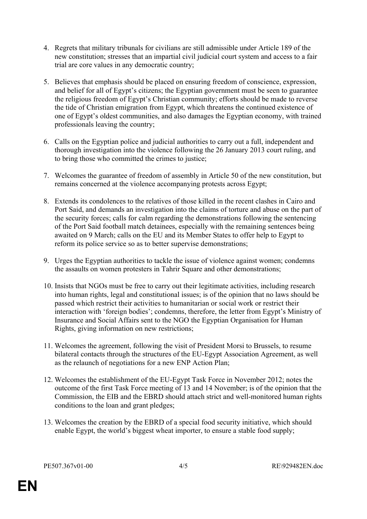- 4. Regrets that military tribunals for civilians are still admissible under Article 189 of the new constitution; stresses that an impartial civil judicial court system and access to a fair trial are core values in any democratic country;
- 5. Believes that emphasis should be placed on ensuring freedom of conscience, expression, and belief for all of Egypt's citizens; the Egyptian government must be seen to guarantee the religious freedom of Egypt's Christian community; efforts should be made to reverse the tide of Christian emigration from Egypt, which threatens the continued existence of one of Egypt's oldest communities, and also damages the Egyptian economy, with trained professionals leaving the country;
- 6. Calls on the Egyptian police and judicial authorities to carry out a full, independent and thorough investigation into the violence following the 26 January 2013 court ruling, and to bring those who committed the crimes to justice;
- 7. Welcomes the guarantee of freedom of assembly in Article 50 of the new constitution, but remains concerned at the violence accompanying protests across Egypt;
- 8. Extends its condolences to the relatives of those killed in the recent clashes in Cairo and Port Said, and demands an investigation into the claims of torture and abuse on the part of the security forces; calls for calm regarding the demonstrations following the sentencing of the Port Said football match detainees, especially with the remaining sentences being awaited on 9 March; calls on the EU and its Member States to offer help to Egypt to reform its police service so as to better supervise demonstrations;
- 9. Urges the Egyptian authorities to tackle the issue of violence against women; condemns the assaults on women protesters in Tahrir Square and other demonstrations;
- 10. Insists that NGOs must be free to carry out their legitimate activities, including research into human rights, legal and constitutional issues; is of the opinion that no laws should be passed which restrict their activities to humanitarian or social work or restrict their interaction with 'foreign bodies'; condemns, therefore, the letter from Egypt's Ministry of Insurance and Social Affairs sent to the NGO the Egyptian Organisation for Human Rights, giving information on new restrictions;
- 11. Welcomes the agreement, following the visit of President Morsi to Brussels, to resume bilateral contacts through the structures of the EU-Egypt Association Agreement, as well as the relaunch of negotiations for a new ENP Action Plan;
- 12. Welcomes the establishment of the EU-Egypt Task Force in November 2012; notes the outcome of the first Task Force meeting of 13 and 14 November; is of the opinion that the Commission, the EIB and the EBRD should attach strict and well-monitored human rights conditions to the loan and grant pledges;
- 13. Welcomes the creation by the EBRD of a special food security initiative, which should enable Egypt, the world's biggest wheat importer, to ensure a stable food supply;